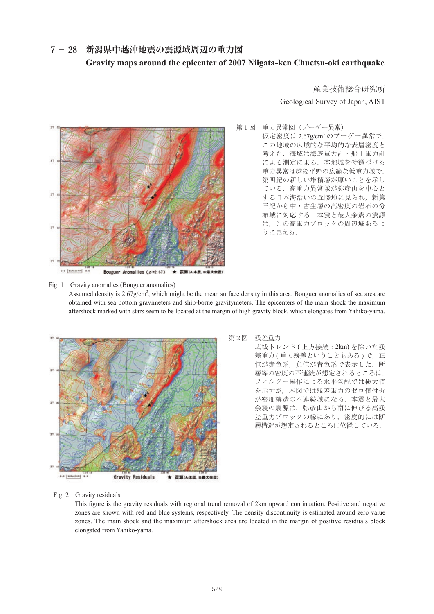## 7-28 新潟県中越沖地震の震源域周辺の重力図 **Gravity maps around the epicenter of 2007 Niigata-ken Chuetsu-oki earthquake**



## 産業技術総合研究所 Geological Survey of Japan, AIST

第1図 重力異常図 (ブーゲー異常)<br>仮定密度は2.67g/cm<sup>3</sup>のブーゲー <del>、<br>仮定密度は 2.67g/cm<sup>3</sup> のブーゲー異常で,</del> この地域の広域的な平均的な表層密度と 考えた. 海域は海底重力計と船上重力計 による測定による.本地域を特徴づける 重力異常は越後平野の広範な低重力域で, 第四紀の新しい堆積層が厚いことを示し <sub>另</sub>凶礼の初しい毎<sub>偶僧</sub> 55序いことをかし<br>ている.高重力異常域が弥彦山を中心と ↓↓ 3. 問量の共冊数, 所参田と 100 ߩᣣᧄᶏᴪࠆߔߣਛᔃࠍᒎᒾጊ߇ၞ ਐ㒺ߦࠇࠄ㧘ᣂ╙ਃ♿ࠄ߆ਛฎ 三紀から中・古生層の高密度の岩石の分 布域に対応する.本震と最大余震の震源 は、この高重力ブロックの周辺域あるよ<br>、  $\overline{a}$ うに見える.

Fig. 1 Gravity anomalies (Bouguer anomalies) Assumed density is 2.67g/cm<sup>3</sup>, which might be the mean surface density in this area. Bouguer anomalies of sea area are obtained with sea bottom gravimeters and ship-borne gravitymeters. The epicenters of the main shock the maximum aftershock marked with stars seem to be located at the margin of high gravity block, which elongates from Yahiko-yama.



## 第2図 残差重力 第2図

広域トレンド (上方接続 : 2km)を除いた残 差重力(重力残差ということもある)で, 正 値が赤色系,負値が青色系で表示した.断 層等の密度の不連続が想定されるところは, フィルター操作による水平勾配では極大値 ߢ♽⦡㕍߇୯⽶㧘⿒⦡♽߇㧘ᱜ୯ߢ ࠃߦᠲ࠲࡞ࠖࡈ㧘ߪࠈߎߣࠆࠇߐ を示すが,本図では残差重力のゼロ値付近 が密度構造の不連続域になる. 本震と最大 余震の震源は,弥彦山から南に伸びる高残 差重力ブロックの縁にあり,密度的には断 層構造が想定されるところに位置している.

## Fig. 2 Gravity residuals  $\frac{1}{2}$  -  $\frac{1}{2}$  -  $\frac{1}{2}$  -  $\frac{1}{2}$  -  $\frac{1}{2}$

This figure is the gravity residuals with regional trend removal of 2km upward continuation. Positive and negative zones are shown with red and blue systems, respectively. The density discontinuity is estimated around zero value zones. The main shock and the maximum aftershock area are located in the margin of positive residuals block elongated from Yahiko-yama. TIg. 2 Gravity residuals with regional trend removal of 2km upward continuation. Positive and n<br>This figure is the gravity residuals with regional trend removal of 2km upward continuation. Positive and n